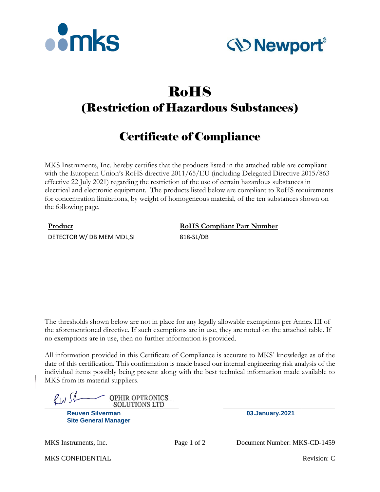



# RoHS (Restriction of Hazardous Substances)

## Certificate of Compliance

MKS Instruments, Inc. hereby certifies that the products listed in the attached table are compliant with the European Union's RoHS directive 2011/65/EU (including Delegated Directive 2015/863 effective 22 July 2021) regarding the restriction of the use of certain hazardous substances in electrical and electronic equipment. The products listed below are compliant to RoHS requirements for concentration limitations, by weight of homogeneous material, of the ten substances shown on the following page.

DETECTOR W/ DB MEM MDL, SI 818-SL/DB

**Product RoHS Compliant Part Number** 

The thresholds shown below are not in place for any legally allowable exemptions per Annex III of the aforementioned directive. If such exemptions are in use, they are noted on the attached table. If no exemptions are in use, then no further information is provided.

All information provided in this Certificate of Compliance is accurate to MKS' knowledge as of the date of this certification. This confirmation is made based our internal engineering risk analysis of the individual items possibly being present along with the best technical information made available to MKS from its material suppliers.

 $\ell_{\mathcal{W}}$  S $\ell_{\mathcal{W}}$  Solutions LTD **OPHIR OPTRONICS** 

**Reuven Silverman 03.January.2021 Site General Manager**

MKS Instruments, Inc. Page 1 of 2 Document Number: MKS-CD-1459

MKS CONFIDENTIAL **Revision:** C